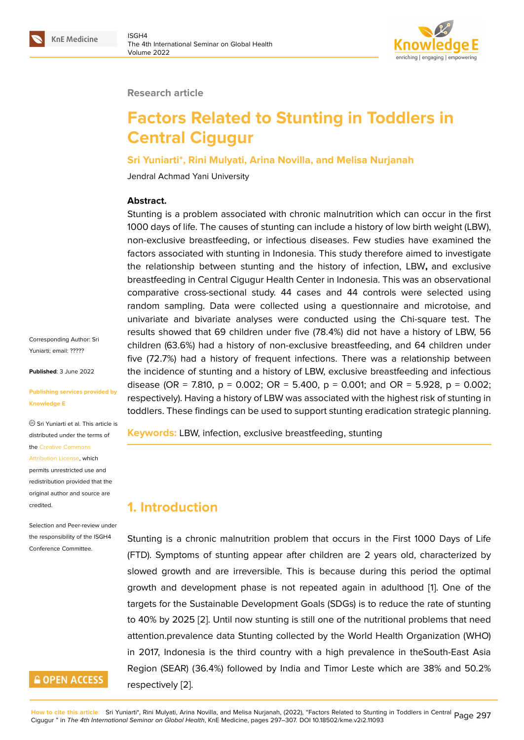

#### **Research article**

# **Factors Related to Stunting in Toddlers in Central Cigugur**

#### **Sri Yuniarti\*, Rini Mulyati, Arina Novilla, and Melisa Nurjanah**

Jendral Achmad Yani University

#### **Abstract.**

Stunting is a problem associated with chronic malnutrition which can occur in the first 1000 days of life. The causes of stunting can include a history of low birth weight (LBW), non-exclusive breastfeeding, or infectious diseases. Few studies have examined the factors associated with stunting in Indonesia. This study therefore aimed to investigate the relationship between stunting and the history of infection, LBW**,** and exclusive breastfeeding in Central Cigugur Health Center in Indonesia. This was an observational comparative cross-sectional study. 44 cases and 44 controls were selected using random sampling. Data were collected using a questionnaire and microtoise, and univariate and bivariate analyses were conducted using the Chi-square test. The results showed that 69 children under five (78.4%) did not have a history of LBW, 56 children (63.6%) had a history of non-exclusive breastfeeding, and 64 children under five (72.7%) had a history of frequent infections. There was a relationship between the incidence of stunting and a history of LBW, exclusive breastfeeding and infectious disease (OR = 7.810,  $p = 0.002$ ; OR = 5.400,  $p = 0.001$ ; and OR = 5.928,  $p = 0.002$ ; respectively). Having a history of LBW was associated with the highest risk of stunting in toddlers. These findings can be used to support stunting eradication strategic planning.

**Keywords:** LBW, infection, exclusive breastfeeding, stunting

### **1. Introduction**

Stunting is a chronic malnutrition problem that occurs in the First 1000 Days of Life (FTD). Symptoms of stunting appear after children are 2 years old, characterized by slowed growth and are irreversible. This is because during this period the optimal growth and development phase is not repeated again in adulthood [1]. One of the targets for the Sustainable Development Goals (SDGs) is to reduce the rate of stunting to 40% by 2025 [2]. Until now stunting is still one of the nutritional problems that need attention.prevalence data Stunting collected by the World Health Orga[ni](#page-9-0)zation (WHO) in 2017, Indonesia is the third country with a high prevalence in theSouth-East Asia Region (SEAR) ([36](#page-9-1).4%) followed by India and Timor Leste which are 38% and 50.2% respectively [2].

Corresponding Author: Sri Yuniarti; email: ?????

**Published**: 3 June 2022

#### **Publishing ser[vices p](mailto:?????)rovided by Knowledge E**

Sri Yuniarti et al. This article is distributed under the terms of the Creative Commons Attribution License, which permits unrestricted use and

redistribution provided that the orig[inal author and sou](https://creativecommons.org/licenses/by/4.0/)rce are [credited.](https://creativecommons.org/licenses/by/4.0/)

Selection and Peer-review under the responsibility of the ISGH4 Conference Committee.

### **GOPEN ACCESS**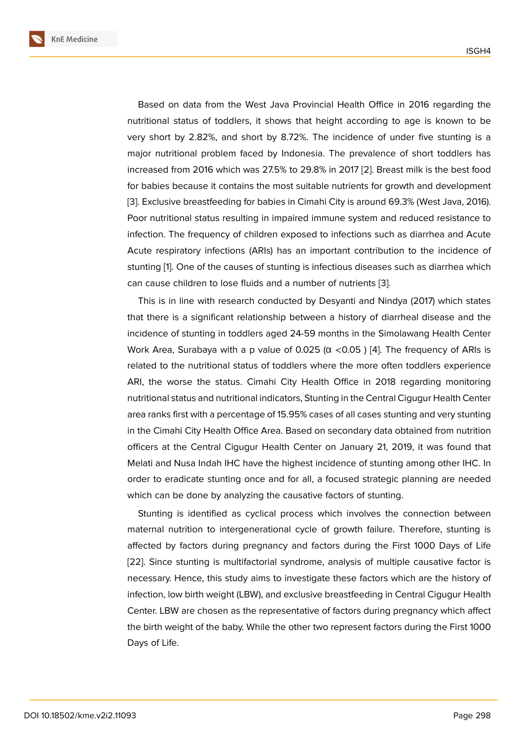Based on data from the West Java Provincial Health Office in 2016 regarding the nutritional status of toddlers, it shows that height according to age is known to be very short by 2.82%, and short by 8.72%. The incidence of under five stunting is a major nutritional problem faced by Indonesia. The prevalence of short toddlers has increased from 2016 which was 27.5% to 29.8% in 2017 [2]. Breast milk is the best food for babies because it contains the most suitable nutrients for growth and development [3]. Exclusive breastfeeding for babies in Cimahi City is around 69.3% (West Java, 2016). Poor nutritional status resulting in impaired immune sys[te](#page-9-1)m and reduced resistance to infection. The frequency of children exposed to infections such as diarrhea and Acute [Ac](#page-9-2)ute respiratory infections (ARIs) has an important contribution to the incidence of stunting [1]. One of the causes of stunting is infectious diseases such as diarrhea which can cause children to lose fluids and a number of nutrients [3].

This is in line with research conducted by Desyanti and Nindya (2017) which states that ther[e](#page-9-0) is a significant relationship between a history of diarrheal disease and the incidence of stunting in toddlers aged 24-59 months in the [Si](#page-9-2)molawang Health Center Work Area, Surabaya with a p value of 0.025 ( $\alpha$  <0.05) [4]. The frequency of ARIs is related to the nutritional status of toddlers where the more often toddlers experience ARI, the worse the status. Cimahi City Health Office in 2018 regarding monitoring nutritional status and nutritional indicators, Stunting in the [Ce](#page-9-3)ntral Cigugur Health Center area ranks first with a percentage of 15.95% cases of all cases stunting and very stunting in the Cimahi City Health Office Area. Based on secondary data obtained from nutrition officers at the Central Cigugur Health Center on January 21, 2019, it was found that Melati and Nusa Indah IHC have the highest incidence of stunting among other IHC. In order to eradicate stunting once and for all, a focused strategic planning are needed which can be done by analyzing the causative factors of stunting.

Stunting is identified as cyclical process which involves the connection between maternal nutrition to intergenerational cycle of growth failure. Therefore, stunting is affected by factors during pregnancy and factors during the First 1000 Days of Life [22]. Since stunting is multifactorial syndrome, analysis of multiple causative factor is necessary. Hence, this study aims to investigate these factors which are the history of infection, low birth weight (LBW), and exclusive breastfeeding in Central Cigugur Health [Cen](#page-10-0)ter. LBW are chosen as the representative of factors during pregnancy which affect the birth weight of the baby. While the other two represent factors during the First 1000 Days of Life.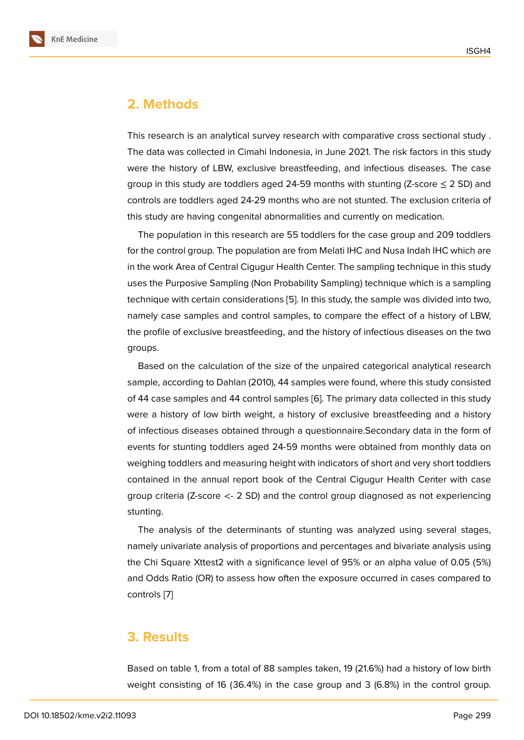### **2. Methods**

This research is an analytical survey research with comparative cross sectional study . The data was collected in Cimahi Indonesia, in June 2021. The risk factors in this study were the history of LBW, exclusive breastfeeding, and infectious diseases. The case group in this study are toddlers aged 24-59 months with stunting (Z-score  $\leq$  2 SD) and controls are toddlers aged 24-29 months who are not stunted. The exclusion criteria of this study are having congenital abnormalities and currently on medication.

The population in this research are 55 toddlers for the case group and 209 toddlers for the control group. The population are from Melati IHC and Nusa Indah IHC which are in the work Area of Central Cigugur Health Center. The sampling technique in this study uses the Purposive Sampling (Non Probability Sampling) technique which is a sampling technique with certain considerations [5]. In this study, the sample was divided into two, namely case samples and control samples, to compare the effect of a history of LBW, the profile of exclusive breastfeeding, and the history of infectious diseases on the two groups.

Based on the calculation of the size of the unpaired categorical analytical research sample, according to Dahlan (2010), 44 samples were found, where this study consisted of 44 case samples and 44 control samples [6]. The primary data collected in this study were a history of low birth weight, a history of exclusive breastfeeding and a history of infectious diseases obtained through a questionnaire.Secondary data in the form of events for stunting toddlers aged 24-59 m[on](#page-9-4)ths were obtained from monthly data on weighing toddlers and measuring height with indicators of short and very short toddlers contained in the annual report book of the Central Cigugur Health Center with case group criteria (Z-score <- 2 SD) and the control group diagnosed as not experiencing stunting.

The analysis of the determinants of stunting was analyzed using several stages, namely univariate analysis of proportions and percentages and bivariate analysis using the Chi Square Xttest2 with a significance level of 95% or an alpha value of 0.05 (5%) and Odds Ratio (OR) to assess how often the exposure occurred in cases compared to controls [7]

#### **3. Res[u](#page-9-5)lts**

Based on table 1, from a total of 88 samples taken, 19 (21.6%) had a history of low birth weight consisting of 16 (36.4%) in the case group and 3 (6.8%) in the control group.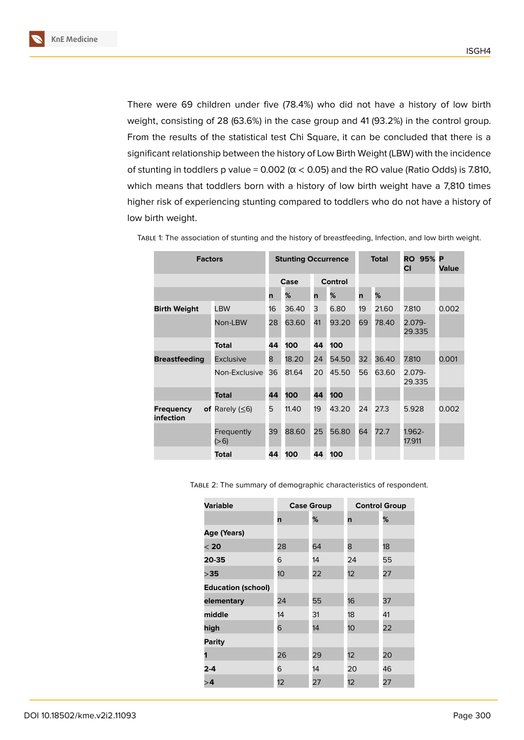There were 69 children under five (78.4%) who did not have a history of low birth weight, consisting of 28 (63.6%) in the case group and 41 (93.2%) in the control group. From the results of the statistical test Chi Square, it can be concluded that there is a significant relationship between the history of Low Birth Weight (LBW) with the incidence of stunting in toddlers p value =  $0.002$  ( $\alpha$  < 0.05) and the RO value (Ratio Odds) is 7.810, which means that toddlers born with a history of low birth weight have a 7,810 times higher risk of experiencing stunting compared to toddlers who do not have a history of low birth weight.

| <b>Factors</b>                |                           | <b>Stunting Occurrence</b> |       |                |       | <b>Total</b> |       | <b>RO 95%</b><br>СI | P<br>Value |
|-------------------------------|---------------------------|----------------------------|-------|----------------|-------|--------------|-------|---------------------|------------|
|                               |                           | Case                       |       | <b>Control</b> |       |              |       |                     |            |
|                               |                           | n                          | %     | n              | ℅     | n            | %     |                     |            |
| <b>Birth Weight</b>           | LBW                       | 16                         | 36.40 | 3              | 6.80  | 19           | 21.60 | 7.810               | 0.002      |
|                               | Non-LBW                   | 28                         | 63.60 | 41             | 93.20 | 69           | 78.40 | $2.079 -$<br>29.335 |            |
|                               | Total                     | 44                         | 100   | 44             | 100   |              |       |                     |            |
| <b>Breastfeeding</b>          | <b>Exclusive</b>          | 8                          | 18.20 | 24             | 54.50 | 32           | 36.40 | 7.810               | 0.001      |
|                               | Non-Exclusive             | 36                         | 81.64 | 20             | 45.50 | 56           | 63.60 | $2.079 -$<br>29.335 |            |
|                               | Total                     | 44                         | 100   | 44             | 100   |              |       |                     |            |
| <b>Frequency</b><br>infection | of Rarely $( \leq 6)$     | 5                          | 11.40 | 19             | 43.20 | 24           | 27.3  | 5.928               | 0.002      |
|                               | <b>Frequently</b><br>(>6) | 39                         | 88.60 | 25             | 56.80 | 64           | 72.7  | 1.962-<br>17.911    |            |
|                               | Total                     | 44                         | 100   | 44             | 100   |              |       |                     |            |

Table 1: The association of stunting and the history of breastfeeding, Infection, and low birth weight.

Table 2: The summary of demographic characteristics of respondent.

| <b>Variable</b>           |    | <b>Case Group</b> | <b>Control Group</b> |    |  |
|---------------------------|----|-------------------|----------------------|----|--|
|                           | n  | %                 | n                    | %  |  |
| Age (Years)               |    |                   |                      |    |  |
| $<$ 20                    | 28 | 64                | 8                    | 18 |  |
| 20-35                     | 6  | 14                | 24                   | 55 |  |
| >35                       | 10 | 22                | 12                   | 27 |  |
| <b>Education (school)</b> |    |                   |                      |    |  |
| elementary                | 24 | 55                | 16                   | 37 |  |
| middle                    | 14 | 31                | 18                   | 41 |  |
| high                      | 6  | 14                | 10                   | 22 |  |
| <b>Parity</b>             |    |                   |                      |    |  |
| 1                         | 26 | 29                | 12                   | 20 |  |
| $2 - 4$                   | 6  | 14                | 20                   | 46 |  |
| >4                        | 12 | 27                | 12                   | 27 |  |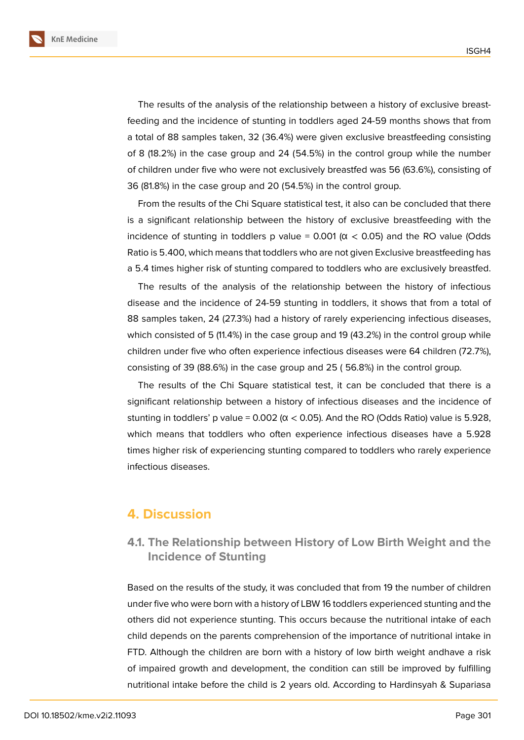**KnE Medicine**

The results of the analysis of the relationship between a history of exclusive breastfeeding and the incidence of stunting in toddlers aged 24-59 months shows that from a total of 88 samples taken, 32 (36.4%) were given exclusive breastfeeding consisting of 8 (18.2%) in the case group and 24 (54.5%) in the control group while the number of children under five who were not exclusively breastfed was 56 (63.6%), consisting of 36 (81.8%) in the case group and 20 (54.5%) in the control group.

From the results of the Chi Square statistical test, it also can be concluded that there is a significant relationship between the history of exclusive breastfeeding with the incidence of stunting in toddlers p value =  $0.001$  ( $\alpha$  < 0.05) and the RO value (Odds Ratio is 5.400, which means that toddlers who are not given Exclusive breastfeeding has a 5.4 times higher risk of stunting compared to toddlers who are exclusively breastfed.

The results of the analysis of the relationship between the history of infectious disease and the incidence of 24-59 stunting in toddlers, it shows that from a total of 88 samples taken, 24 (27.3%) had a history of rarely experiencing infectious diseases, which consisted of 5 (11.4%) in the case group and 19 (43.2%) in the control group while children under five who often experience infectious diseases were 64 children (72.7%), consisting of 39 (88.6%) in the case group and 25 ( 56.8%) in the control group.

The results of the Chi Square statistical test, it can be concluded that there is a significant relationship between a history of infectious diseases and the incidence of stunting in toddlers' p value =  $0.002$  ( $\alpha$  < 0.05). And the RO (Odds Ratio) value is 5.928, which means that toddlers who often experience infectious diseases have a 5.928 times higher risk of experiencing stunting compared to toddlers who rarely experience infectious diseases.

#### **4. Discussion**

#### **4.1. The Relationship between History of Low Birth Weight and the Incidence of Stunting**

Based on the results of the study, it was concluded that from 19 the number of children under five who were born with a history of LBW 16 toddlers experienced stunting and the others did not experience stunting. This occurs because the nutritional intake of each child depends on the parents comprehension of the importance of nutritional intake in FTD. Although the children are born with a history of low birth weight andhave a risk of impaired growth and development, the condition can still be improved by fulfilling nutritional intake before the child is 2 years old. According to Hardinsyah & Supariasa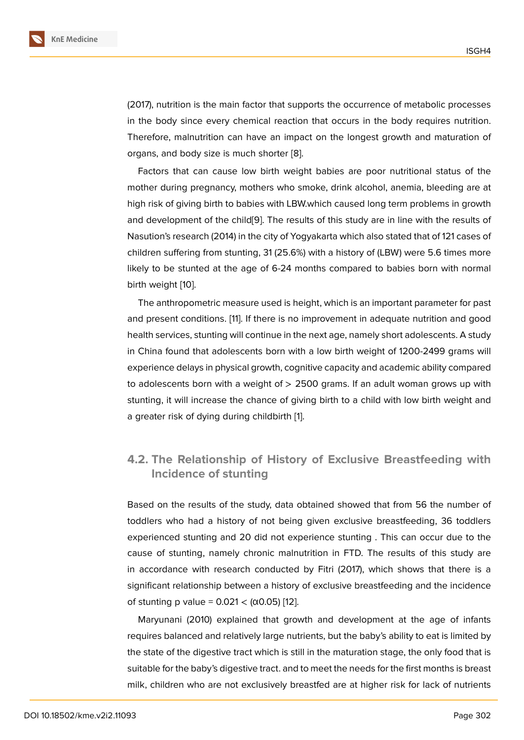(2017), nutrition is the main factor that supports the occurrence of metabolic processes in the body since every chemical reaction that occurs in the body requires nutrition. Therefore, malnutrition can have an impact on the longest growth and maturation of organs, and body size is much shorter [8].

Factors that can cause low birth weight babies are poor nutritional status of the mother during pregnancy, mothers who smoke, drink alcohol, anemia, bleeding are at high risk of giving birth to babies with L[BW](#page-9-6).which caused long term problems in growth and development of the child[9]. The results of this study are in line with the results of Nasution's research (2014) in the city of Yogyakarta which also stated that of 121 cases of children suffering from stunting, 31 (25.6%) with a history of (LBW) were 5.6 times more likely to be stunted at the ag[e](#page-9-7) of 6-24 months compared to babies born with normal birth weight [10].

The anthropometric measure used is height, which is an important parameter for past and present conditions. [11]. If there is no improvement in adequate nutrition and good health servic[es,](#page-9-8) stunting will continue in the next age, namely short adolescents. A study in China found that adolescents born with a low birth weight of 1200-2499 grams will experience delays in phy[sic](#page-9-9)al growth, cognitive capacity and academic ability compared to adolescents born with a weight of  $> 2500$  grams. If an adult woman grows up with stunting, it will increase the chance of giving birth to a child with low birth weight and a greater risk of dying during childbirth [1].

#### **4.2. The Relationship of Histo[r](#page-9-0)y of Exclusive Breastfeeding with Incidence of stunting**

Based on the results of the study, data obtained showed that from 56 the number of toddlers who had a history of not being given exclusive breastfeeding, 36 toddlers experienced stunting and 20 did not experience stunting . This can occur due to the cause of stunting, namely chronic malnutrition in FTD. The results of this study are in accordance with research conducted by Fitri (2017), which shows that there is a significant relationship between a history of exclusive breastfeeding and the incidence of stunting p value = 0.021 < (α0.05) [12].

Maryunani (2010) explained that growth and development at the age of infants requires balanced and relatively large nutrients, but the baby's ability to eat is limited by the state of the digestive tract which i[s s](#page-9-10)till in the maturation stage, the only food that is suitable for the baby's digestive tract. and to meet the needs for the first months is breast milk, children who are not exclusively breastfed are at higher risk for lack of nutrients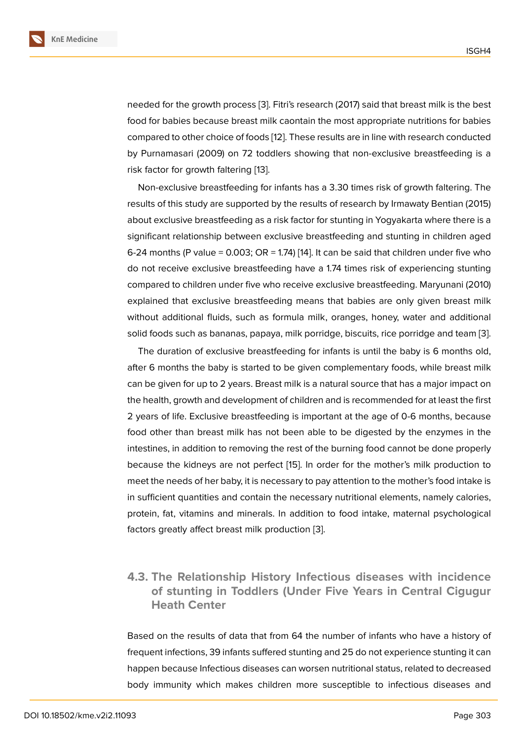needed for the growth process [3]. Fitri's research (2017) said that breast milk is the best food for babies because breast milk caontain the most appropriate nutritions for babies compared to other choice of foods [12]. These results are in line with research conducted by Purnamasari (2009) on 72 t[od](#page-9-2)dlers showing that non-exclusive breastfeeding is a risk factor for growth faltering [13].

Non-exclusive breastfeeding for [inf](#page-9-10)ants has a 3.30 times risk of growth faltering. The results of this study are supported by the results of research by Irmawaty Bentian (2015) about exclusive breastfeeding [as](#page-9-11) a risk factor for stunting in Yogyakarta where there is a significant relationship between exclusive breastfeeding and stunting in children aged 6-24 months (P value = 0.003; OR = 1.74) [14]. It can be said that children under five who do not receive exclusive breastfeeding have a 1.74 times risk of experiencing stunting compared to children under five who receive exclusive breastfeeding. Maryunani (2010) explained that exclusive breastfeeding [me](#page-9-12)ans that babies are only given breast milk without additional fluids, such as formula milk, oranges, honey, water and additional solid foods such as bananas, papaya, milk porridge, biscuits, rice porridge and team [3].

The duration of exclusive breastfeeding for infants is until the baby is 6 months old, after 6 months the baby is started to be given complementary foods, while breast milk can be given for up to 2 years. Breast milk is a natural source that has a major impact [on](#page-9-2) the health, growth and development of children and is recommended for at least the first 2 years of life. Exclusive breastfeeding is important at the age of 0-6 months, because food other than breast milk has not been able to be digested by the enzymes in the intestines, in addition to removing the rest of the burning food cannot be done properly because the kidneys are not perfect [15]. In order for the mother's milk production to meet the needs of her baby, it is necessary to pay attention to the mother's food intake is in sufficient quantities and contain the necessary nutritional elements, namely calories, protein, fat, vitamins and minerals. In [ad](#page-10-1)dition to food intake, maternal psychological factors greatly affect breast milk production [3].

#### **4.3. The Relationship History Inf[ec](#page-9-2)tious diseases with incidence of stunting in Toddlers (Under Five Years in Central Cigugur Heath Center**

Based on the results of data that from 64 the number of infants who have a history of frequent infections, 39 infants suffered stunting and 25 do not experience stunting it can happen because Infectious diseases can worsen nutritional status, related to decreased body immunity which makes children more susceptible to infectious diseases and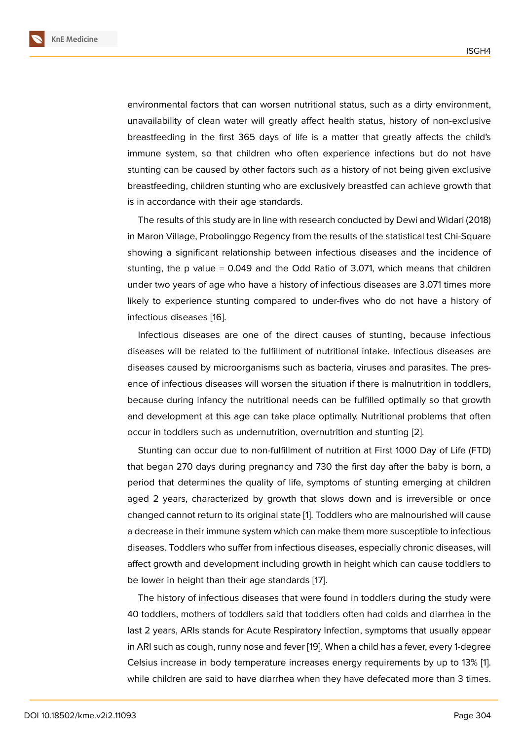environmental factors that can worsen nutritional status, such as a dirty environment, unavailability of clean water will greatly affect health status, history of non-exclusive breastfeeding in the first 365 days of life is a matter that greatly affects the child's immune system, so that children who often experience infections but do not have stunting can be caused by other factors such as a history of not being given exclusive breastfeeding, children stunting who are exclusively breastfed can achieve growth that is in accordance with their age standards.

The results of this study are in line with research conducted by Dewi and Widari (2018) in Maron Village, Probolinggo Regency from the results of the statistical test Chi-Square showing a significant relationship between infectious diseases and the incidence of stunting, the p value = 0.049 and the Odd Ratio of 3.071, which means that children under two years of age who have a history of infectious diseases are 3.071 times more likely to experience stunting compared to under-fives who do not have a history of infectious diseases [16].

Infectious diseases are one of the direct causes of stunting, because infectious diseases will be related to the fulfillment of nutritional intake. Infectious diseases are diseases caused by [mi](#page-10-2)croorganisms such as bacteria, viruses and parasites. The presence of infectious diseases will worsen the situation if there is malnutrition in toddlers, because during infancy the nutritional needs can be fulfilled optimally so that growth and development at this age can take place optimally. Nutritional problems that often occur in toddlers such as undernutrition, overnutrition and stunting [2].

Stunting can occur due to non-fulfillment of nutrition at First 1000 Day of Life (FTD) that began 270 days during pregnancy and 730 the first day after the baby is born, a period that determines the quality of life, symptoms of stunting e[me](#page-9-1)rging at children aged 2 years, characterized by growth that slows down and is irreversible or once changed cannot return to its original state [1]. Toddlers who are malnourished will cause a decrease in their immune system which can make them more susceptible to infectious diseases. Toddlers who suffer from infectious diseases, especially chronic diseases, will affect growth and development including [gr](#page-9-0)owth in height which can cause toddlers to be lower in height than their age standards [17].

The history of infectious diseases that were found in toddlers during the study were 40 toddlers, mothers of toddlers said that toddlers often had colds and diarrhea in the last 2 years, ARIs stands for Acute Respirato[ry](#page-10-3) Infection, symptoms that usually appear in ARI such as cough, runny nose and fever [19]. When a child has a fever, every 1-degree Celsius increase in body temperature increases energy requirements by up to 13% [1]. while children are said to have diarrhea when they have defecated more than 3 times.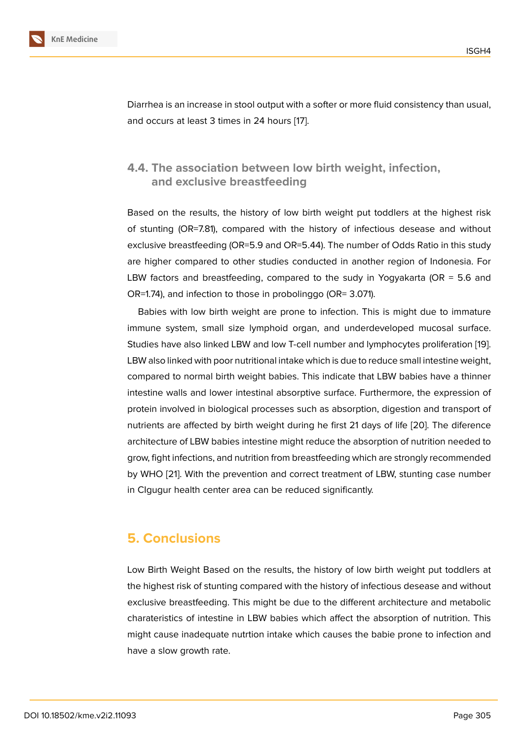Diarrhea is an increase in stool output with a softer or more fluid consistency than usual, and occurs at least 3 times in 24 hours [17].

#### **4.4. The association betweenl[ow](#page-10-3) birth weight, infection, and exclusive breastfeeding**

Based on the results, the history of low birth weight put toddlers at the highest risk of stunting (OR=7.81), compared with the history of infectious desease and without exclusive breastfeeding (OR=5.9 and OR=5.44). The number of Odds Ratio in this study are higher compared to other studies conducted in another region of Indonesia. For LBW factors and breastfeeding, compared to the sudy in Yogyakarta (OR = 5.6 and OR=1.74), and infection to those in probolinggo (OR= 3.071).

Babies with low birth weight are prone to infection. This is might due to immature immune system, small size lymphoid organ, and underdeveloped mucosal surface. Studies have also linked LBW and low T-cell number and lymphocytes proliferation [19]. LBW also linked with poor nutritional intake which is due to reduce small intestine weight, compared to normal birth weight babies. This indicate that LBW babies have a thinner intestine walls and lower intestinal absorptive surface. Furthermore, the expressio[n o](#page-10-4)f protein involved in biological processes such as absorption, digestion and transport of nutrients are affected by birth weight during he first 21 days of life [20]. The diference architecture of LBW babies intestine might reduce the absorption of nutrition needed to grow, fight infections, and nutrition from breastfeeding which are strongly recommended by WHO [21]. With the prevention and correct treatment of LBW, stu[ntin](#page-10-5)g case number in CIgugur health center area can be reduced significantly.

#### **5. Conclusions**

Low Birth Weight Based on the results, the history of low birth weight put toddlers at the highest risk of stunting compared with the history of infectious desease and without exclusive breastfeeding. This might be due to the different architecture and metabolic charateristics of intestine in LBW babies which affect the absorption of nutrition. This might cause inadequate nutrtion intake which causes the babie prone to infection and have a slow growth rate.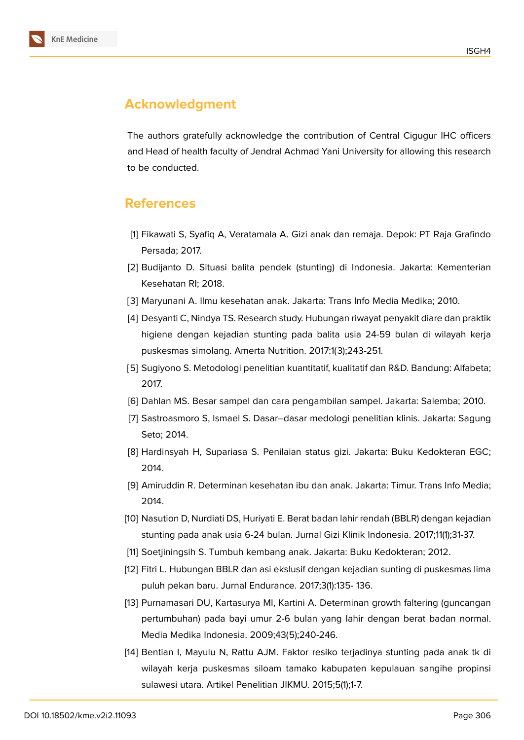

## **Acknowledgment**

The authors gratefully acknowledge the contribution of Central Cigugur IHC officers and Head of health faculty of Jendral Achmad Yani University for allowing this research to be conducted.

### **References**

- <span id="page-9-0"></span>[1] Fikawati S, Syafiq A, Veratamala A. Gizi anak dan remaja. Depok: PT Raja Grafindo Persada; 2017.
- <span id="page-9-1"></span>[2] Budijanto D. Situasi balita pendek (stunting) di Indonesia. Jakarta: Kementerian Kesehatan RI; 2018.
- <span id="page-9-3"></span><span id="page-9-2"></span>[3] Maryunani A. Ilmu kesehatan anak. Jakarta: Trans Info Media Medika; 2010.
- [4] Desyanti C, Nindya TS. Research study. Hubungan riwayat penyakit diare dan praktik higiene dengan kejadian stunting pada balita usia 24-59 bulan di wilayah kerja puskesmas simolang. Amerta Nutrition. 2017:1(3);243-251.
- [5] Sugiyono S. Metodologi penelitian kuantitatif, kualitatif dan R&D. Bandung: Alfabeta; 2017.
- <span id="page-9-5"></span><span id="page-9-4"></span>[6] Dahlan MS. Besar sampel dan cara pengambilan sampel. Jakarta: Salemba; 2010.
- [7] Sastroasmoro S, Ismael S. Dasar–dasar medologi penelitian klinis. Jakarta: Sagung Seto; 2014.
- <span id="page-9-6"></span>[8] Hardinsyah H, Supariasa S. Penilaian status gizi. Jakarta: Buku Kedokteran EGC; 2014.
- <span id="page-9-7"></span>[9] Amiruddin R. Determinan kesehatan ibu dan anak. Jakarta: Timur. Trans Info Media; 2014.
- <span id="page-9-8"></span>[10] Nasution D, Nurdiati DS, Huriyati E. Berat badan lahir rendah (BBLR) dengan kejadian stunting pada anak usia 6-24 bulan. Jurnal Gizi Klinik Indonesia. 2017;11(1);31-37.
- <span id="page-9-10"></span><span id="page-9-9"></span>[11] Soetjiningsih S. Tumbuh kembang anak. Jakarta: Buku Kedokteran; 2012.
- [12] Fitri L. Hubungan BBLR dan asi ekslusif dengan kejadian sunting di puskesmas lima puluh pekan baru. Jurnal Endurance. 2017;3(1):135- 136.
- <span id="page-9-11"></span>[13] Purnamasari DU, Kartasurya MI, Kartini A. Determinan growth faltering (guncangan pertumbuhan) pada bayi umur 2-6 bulan yang lahir dengan berat badan normal. Media Medika Indonesia. 2009;43(5);240-246.
- <span id="page-9-12"></span>[14] Bentian I, Mayulu N, Rattu AJM. Faktor resiko terjadinya stunting pada anak tk di wilayah kerja puskesmas siloam tamako kabupaten kepulauan sangihe propinsi sulawesi utara. Artikel Penelitian JIKMU. 2015;5(1);1-7.